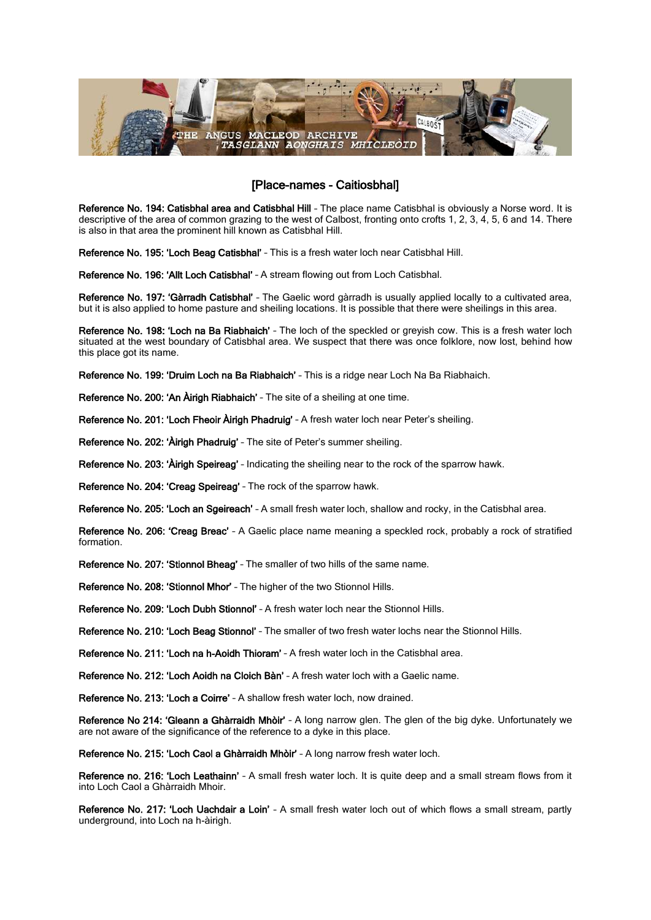

## [Place-names - Caitiosbhal]

Reference No. 194: Catisbhal area and Catisbhal Hill - The place name Catisbhal is obviously a Norse word. It is descriptive of the area of common grazing to the west of Calbost, fronting onto crofts 1, 2, 3, 4, 5, 6 and 14. There is also in that area the prominent hill known as Catisbhal Hill.

Reference No. 195: 'Loch Beag Catisbhal' – This is a fresh water loch near Catisbhal Hill.

Reference No. 196: 'Allt Loch Catisbhal' – A stream flowing out from Loch Catisbhal.

Reference No. 197: 'Gàrradh Catisbhal' – The Gaelic word gàrradh is usually applied locally to a cultivated area, but it is also applied to home pasture and sheiling locations. It is possible that there were sheilings in this area.

Reference No. 198: 'Loch na Ba Riabhaich' - The loch of the speckled or greyish cow. This is a fresh water loch situated at the west boundary of Catisbhal area. We suspect that there was once folklore, now lost, behind how this place got its name.

Reference No. 199: 'Druim Loch na Ba Riabhaich' – This is a ridge near Loch Na Ba Riabhaich.

Reference No. 200: 'An Àirigh Riabhaich' – The site of a sheiling at one time.

Reference No. 201: 'Loch Fheoir Àirigh Phadruig' – A fresh water loch near Peter's sheiling.

Reference No. 202: 'Àirigh Phadruig' – The site of Peter's summer sheiling.

Reference No. 203: 'Àirigh Speireag' – Indicating the sheiling near to the rock of the sparrow hawk.

Reference No. 204: 'Creag Speireag' – The rock of the sparrow hawk.

Reference No. 205: 'Loch an Sgeireach' – A small fresh water loch, shallow and rocky, in the Catisbhal area.

Reference No. 206: 'Creag Breac' – A Gaelic place name meaning a speckled rock, probably a rock of stratified formation.

Reference No. 207: 'Stionnol Bheag' – The smaller of two hills of the same name.

Reference No. 208: 'Stionnol Mhor' – The higher of the two Stionnol Hills.

Reference No. 209: 'Loch Dubh Stionnol' - A fresh water loch near the Stionnol Hills.

Reference No. 210: 'Loch Beag Stionnol' – The smaller of two fresh water lochs near the Stionnol Hills.

Reference No. 211: 'Loch na h-Aoidh Thioram' – A fresh water loch in the Catisbhal area.

Reference No. 212: 'Loch Aoidh na Cloich Bàn' – A fresh water loch with a Gaelic name.

Reference No. 213: 'Loch a Coirre' - A shallow fresh water loch, now drained.

Reference No 214: 'Gleann a Ghàrraidh Mhòir' – A long narrow glen. The glen of the big dyke. Unfortunately we are not aware of the significance of the reference to a dyke in this place.

Reference No. 215: 'Loch Caol a Ghàrraidh Mhòir' – A long narrow fresh water loch.

Reference no. 216: 'Loch Leathainn' - A small fresh water loch. It is quite deep and a small stream flows from it into Loch Caol a Ghàrraidh Mhoir.

Reference No. 217: 'Loch Uachdair a Loin' – A small fresh water loch out of which flows a small stream, partly underground, into Loch na h-àirigh.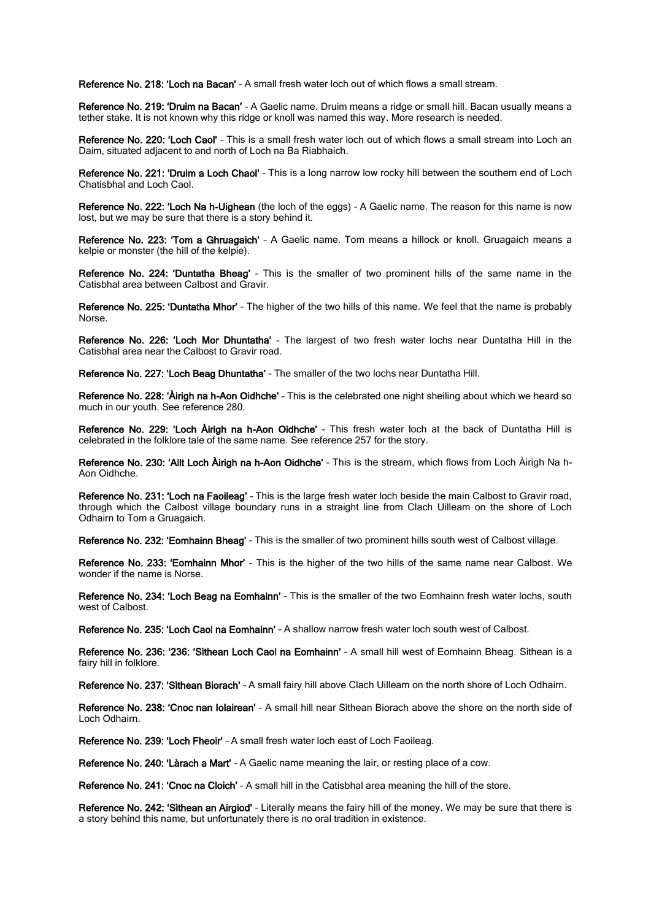Reference No. 218: 'Loch na Bacan' – A small fresh water loch out of which flows a small stream.

Reference No. 219: 'Druim na Bacan' – A Gaelic name. Druim means a ridge or small hill. Bacan usually means a tether stake. It is not known why this ridge or knoll was named this way. More research is needed.

Reference No. 220: 'Loch Caol' - This is a small fresh water loch out of which flows a small stream into Loch an Daim, situated adjacent to and north of Loch na Ba Riabhaich.

Reference No. 221: 'Druim a Loch Chaol' – This is a long narrow low rocky hill between the southern end of Loch Chatisbhal and Loch Caol.

Reference No. 222: 'Loch Na h-Uighean (the loch of the eggs) – A Gaelic name. The reason for this name is now lost, but we may be sure that there is a story behind it.

Reference No. 223: 'Tom a Ghruagaich' – A Gaelic name. Tom means a hillock or knoll. Gruagaich means a kelpie or monster (the hill of the kelpie).

Reference No. 224: 'Duntatha Bheag' – This is the smaller of two prominent hills of the same name in the Catisbhal area between Calbost and Gravir.

Reference No. 225: 'Duntatha Mhor' – The higher of the two hills of this name. We feel that the name is probably Norse.

Reference No. 226: 'Loch Mor Dhuntatha' – The largest of two fresh water lochs near Duntatha Hill in the Catisbhal area near the Calbost to Gravir road.

Reference No. 227: 'Loch Beag Dhuntatha' – The smaller of the two lochs near Duntatha Hill.

Reference No. 228: 'Àirigh na h-Aon Oidhche' – This is the celebrated one night sheiling about which we heard so much in our youth. See reference 280.

Reference No. 229: 'Loch Àirigh na h-Aon Oidhche' – This fresh water loch at the back of Duntatha Hill is celebrated in the folklore tale of the same name. See reference 257 for the story.

Reference No. 230: 'Allt Loch Àirigh na h-Aon Oidhche' – This is the stream, which flows from Loch Àirigh Na h-Aon Oidhche.

Reference No. 231: 'Loch na Faoileag' - This is the large fresh water loch beside the main Calbost to Gravir road, through which the Calbost village boundary runs in a straight line from Clach Uilleam on the shore of Loch Odhairn to Tom a Gruagaich.

Reference No. 232: 'Eomhainn Bheag' – This is the smaller of two prominent hills south west of Calbost village.

Reference No. 233: 'Eomhainn Mhor' - This is the higher of the two hills of the same name near Calbost. We wonder if the name is Norse.

Reference No. 234: 'Loch Beag na Eomhainn' – This is the smaller of the two Eomhainn fresh water lochs, south west of Calbost.

Reference No. 235: 'Loch Caol na Eomhainn' - A shallow narrow fresh water loch south west of Calbost.

Reference No. 236: '236: 'Sìthean Loch Caol na Eomhainn' – A small hill west of Eomhainn Bheag. Sìthean is a fairy hill in folklore.

Reference No. 237: 'Sìthean Biorach' - A small fairy hill above Clach Uilleam on the north shore of Loch Odhairn.

Reference No. 238: 'Cnoc nan Iolairean' - A small hill near Sithean Biorach above the shore on the north side of Loch Odhairn.

Reference No. 239: 'Loch Fheoir' – A small fresh water loch east of Loch Faoileag.

Reference No. 240: 'Làrach a Mart' - A Gaelic name meaning the lair, or resting place of a cow.

Reference No. 241: 'Cnoc na Cloich' – A small hill in the Catisbhal area meaning the hill of the store.

Reference No. 242: 'Sìthean an Airgiod' – Literally means the fairy hill of the money. We may be sure that there is a story behind this name, but unfortunately there is no oral tradition in existence.